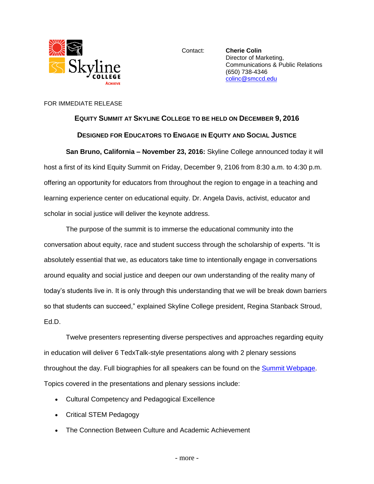

Contact: **Cherie Colin** Director of Marketing, Communications & Public Relations (650) 738-4346 [colinc@smccd.edu](mailto:colinc@smccd.edu)

## FOR IMMEDIATE RELEASE

## **EQUITY SUMMIT AT SKYLINE COLLEGE TO BE HELD ON DECEMBER 9, 2016 DESIGNED FOR EDUCATORS TO ENGAGE IN EQUITY AND SOCIAL JUSTICE**

**San Bruno, California – November 23, 2016:** Skyline College announced today it will host a first of its kind Equity Summit on Friday, December 9, 2106 from 8:30 a.m. to 4:30 p.m. offering an opportunity for educators from throughout the region to engage in a teaching and learning experience center on educational equity. Dr. Angela Davis, activist, educator and scholar in social justice will deliver the keynote address.

The purpose of the summit is to immerse the educational community into the conversation about equity, race and student success through the scholarship of experts. "It is absolutely essential that we, as educators take time to intentionally engage in conversations around equality and social justice and deepen our own understanding of the reality many of today's students live in. It is only through this understanding that we will be break down barriers so that students can succeed," explained Skyline College president, Regina Stanback Stroud, Ed.D.

Twelve presenters representing diverse perspectives and approaches regarding equity in education will deliver 6 TedxTalk-style presentations along with 2 plenary sessions throughout the day. Full biographies for all speakers can be found on the [Summit Webpage.](http://skylinecollege.edu/studentequitydivision/summit.php) Topics covered in the presentations and plenary sessions include:

- Cultural Competency and Pedagogical Excellence
- Critical STEM Pedagogy
- The Connection Between Culture and Academic Achievement